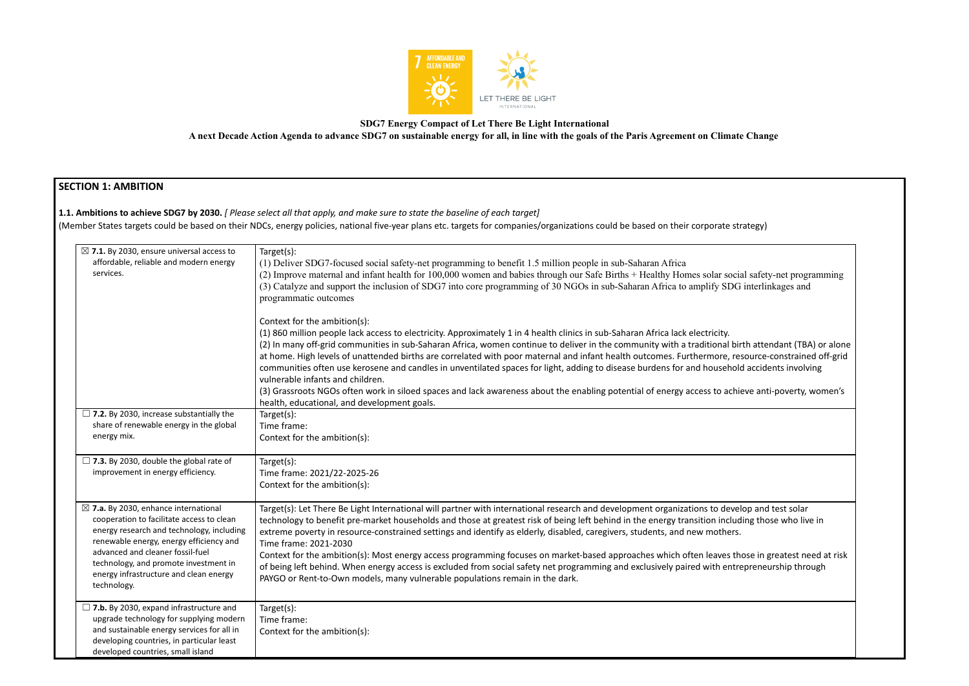

**SDG7 Energy Compact of Let There Be Light International**

**A next Decade Action Agenda to advance SDG7 on sustainable energy for all, in line with the goals of the Paris Agreement on Climate Change**

# **SECTION 1: AMBITION**

**1.1. Ambitions to achieve SDG7 by 2030.** *[ Please select all that apply, and make sure to state the baseline of each target]*

(Member States targets could be based on their NDCs, energy policies, national five-year plans etc. targets for companies/organizations could be based on their corporate strategy)

| $\boxtimes$ 7.1. By 2030, ensure universal access to<br>affordable, reliable and modern energy<br>services.                                                                                                                                                                                                                | Target(s):<br>(1) Deliver SDG7-focused social safety-net programming to benefit 1.5 million people in sub-Saharan Africa<br>(2) Improve maternal and infant health for 100,000 women and babies through our Safe Births + Healthy Homes solar social<br>(3) Catalyze and support the inclusion of SDG7 into core programming of 30 NGOs in sub-Saharan Africa to amplify SDG<br>programmatic outcomes                                                                                                                                                                                                                                                                                                                                                  |  |  |
|----------------------------------------------------------------------------------------------------------------------------------------------------------------------------------------------------------------------------------------------------------------------------------------------------------------------------|--------------------------------------------------------------------------------------------------------------------------------------------------------------------------------------------------------------------------------------------------------------------------------------------------------------------------------------------------------------------------------------------------------------------------------------------------------------------------------------------------------------------------------------------------------------------------------------------------------------------------------------------------------------------------------------------------------------------------------------------------------|--|--|
|                                                                                                                                                                                                                                                                                                                            | Context for the ambition(s):<br>(1) 860 million people lack access to electricity. Approximately 1 in 4 health clinics in sub-Saharan Africa lack electricity.<br>(2) In many off-grid communities in sub-Saharan Africa, women continue to deliver in the community with a traditional bir<br>at home. High levels of unattended births are correlated with poor maternal and infant health outcomes. Furthermore, re:<br>communities often use kerosene and candles in unventilated spaces for light, adding to disease burdens for and household<br>vulnerable infants and children.<br>(3) Grassroots NGOs often work in siloed spaces and lack awareness about the enabling potential of energy access to achio                                   |  |  |
| $\Box$ 7.2. By 2030, increase substantially the<br>share of renewable energy in the global<br>energy mix.                                                                                                                                                                                                                  | health, educational, and development goals.<br>Target $(s)$ :<br>Time frame:<br>Context for the ambition(s):                                                                                                                                                                                                                                                                                                                                                                                                                                                                                                                                                                                                                                           |  |  |
| $\Box$ 7.3. By 2030, double the global rate of<br>improvement in energy efficiency.                                                                                                                                                                                                                                        | Target(s):<br>Time frame: 2021/22-2025-26<br>Context for the ambition(s):                                                                                                                                                                                                                                                                                                                                                                                                                                                                                                                                                                                                                                                                              |  |  |
| $\boxtimes$ 7.a. By 2030, enhance international<br>cooperation to facilitate access to clean<br>energy research and technology, including<br>renewable energy, energy efficiency and<br>advanced and cleaner fossil-fuel<br>technology, and promote investment in<br>energy infrastructure and clean energy<br>technology. | Target(s): Let There Be Light International will partner with international research and development organizations to devel<br>technology to benefit pre-market households and those at greatest risk of being left behind in the energy transition includ<br>extreme poverty in resource-constrained settings and identify as elderly, disabled, caregivers, students, and new mothers.<br>Time frame: 2021-2030<br>Context for the ambition(s): Most energy access programming focuses on market-based approaches which often leaves th<br>of being left behind. When energy access is excluded from social safety net programming and exclusively paired with entre<br>PAYGO or Rent-to-Own models, many vulnerable populations remain in the dark. |  |  |
| $\Box$ 7.b. By 2030, expand infrastructure and<br>upgrade technology for supplying modern<br>and sustainable energy services for all in<br>developing countries, in particular least<br>developed countries, small island                                                                                                  | Target(s):<br>Time frame:<br>Context for the ambition(s):                                                                                                                                                                                                                                                                                                                                                                                                                                                                                                                                                                                                                                                                                              |  |  |

ocial safety-net programming OG interlinkages and

birth attendant (TBA) or alone resource-constrained off-grid old accidents involving

hieve anti-poverty, women's

velop and test solar luding those who live in

those in greatest need at risk ntrepreneurship through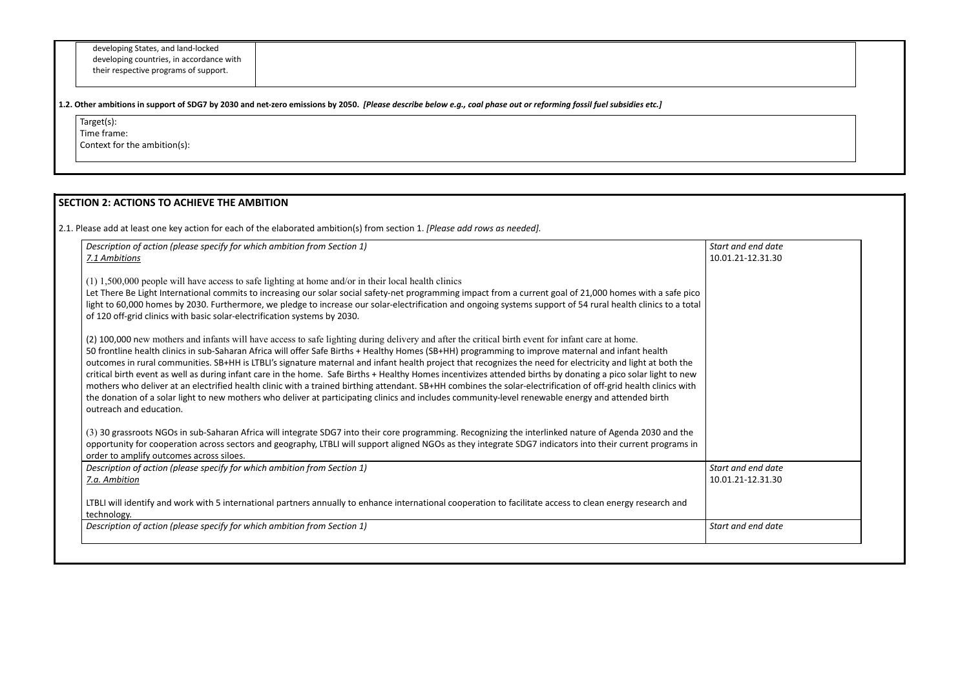| developing States, and land-locked       |
|------------------------------------------|
| developing countries, in accordance with |
| their respective programs of support.    |

1.2. Other ambitions in support of SDG7 by 2030 and net-zero emissions by 2050. [Please describe below e.g., coal phase out or reforming fossil fuel subsidies etc.]

Target(s): Time frame: Context for the ambition(s):

# **SECTION 2: ACTIONS TO ACHIEVE THE AMBITION**

2.1. Please add at least one key action for each of the elaborated ambition(s) from section 1. *[Please add rows as needed].*

| Description of action (please specify for which ambition from Section 1)                                                                                                                                                                                                                                                                                                                                                                                                                                                                                                                                                                                                                                                                                                                                                                                                                                                                                                                     | Start and end date                      |
|----------------------------------------------------------------------------------------------------------------------------------------------------------------------------------------------------------------------------------------------------------------------------------------------------------------------------------------------------------------------------------------------------------------------------------------------------------------------------------------------------------------------------------------------------------------------------------------------------------------------------------------------------------------------------------------------------------------------------------------------------------------------------------------------------------------------------------------------------------------------------------------------------------------------------------------------------------------------------------------------|-----------------------------------------|
| 7.1 Ambitions                                                                                                                                                                                                                                                                                                                                                                                                                                                                                                                                                                                                                                                                                                                                                                                                                                                                                                                                                                                | 10.01.21-12.31.30                       |
| $(1)$ 1,500,000 people will have access to safe lighting at home and/or in their local health clinics<br>Let There Be Light International commits to increasing our solar social safety-net programming impact from a current goal of 21,000 homes with a safe pico<br>light to 60,000 homes by 2030. Furthermore, we pledge to increase our solar-electrification and ongoing systems support of 54 rural health clinics to a total<br>of 120 off-grid clinics with basic solar-electrification systems by 2030.                                                                                                                                                                                                                                                                                                                                                                                                                                                                            |                                         |
| (2) 100,000 new mothers and infants will have access to safe lighting during delivery and after the critical birth event for infant care at home.<br>50 frontline health clinics in sub-Saharan Africa will offer Safe Births + Healthy Homes (SB+HH) programming to improve maternal and infant health<br>outcomes in rural communities. SB+HH is LTBLI's signature maternal and infant health project that recognizes the need for electricity and light at both the<br>critical birth event as well as during infant care in the home. Safe Births + Healthy Homes incentivizes attended births by donating a pico solar light to new<br>mothers who deliver at an electrified health clinic with a trained birthing attendant. SB+HH combines the solar-electrification of off-grid health clinics with<br>the donation of a solar light to new mothers who deliver at participating clinics and includes community-level renewable energy and attended birth<br>outreach and education. |                                         |
| (3) 30 grassroots NGOs in sub-Saharan Africa will integrate SDG7 into their core programming. Recognizing the interlinked nature of Agenda 2030 and the<br>opportunity for cooperation across sectors and geography, LTBLI will support aligned NGOs as they integrate SDG7 indicators into their current programs in<br>order to amplify outcomes across siloes.                                                                                                                                                                                                                                                                                                                                                                                                                                                                                                                                                                                                                            |                                         |
| Description of action (please specify for which ambition from Section 1)<br>7.a. Ambition                                                                                                                                                                                                                                                                                                                                                                                                                                                                                                                                                                                                                                                                                                                                                                                                                                                                                                    | Start and end date<br>10.01.21-12.31.30 |
| LTBLI will identify and work with 5 international partners annually to enhance international cooperation to facilitate access to clean energy research and<br>technology.                                                                                                                                                                                                                                                                                                                                                                                                                                                                                                                                                                                                                                                                                                                                                                                                                    |                                         |
| Description of action (please specify for which ambition from Section 1)                                                                                                                                                                                                                                                                                                                                                                                                                                                                                                                                                                                                                                                                                                                                                                                                                                                                                                                     | Start and end date                      |

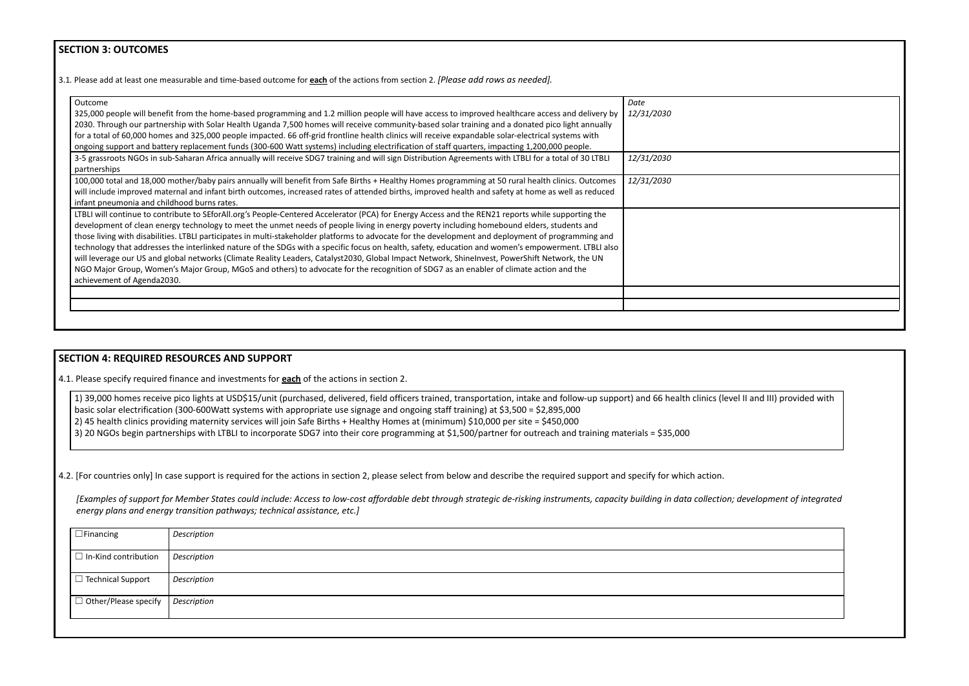### **SECTION 3: OUTCOMES**

3.1*.* Please add at least one measurable and time-based outcome for **each** of the actions from section 2. *[Please add rows as needed].*

| Outcome                                                                                                                                                | Date       |
|--------------------------------------------------------------------------------------------------------------------------------------------------------|------------|
| 325,000 people will benefit from the home-based programming and 1.2 million people will have access to improved healthcare access and delivery by      | 12/31/2030 |
| 2030. Through our partnership with Solar Health Uganda 7,500 homes will receive community-based solar training and a donated pico light annually       |            |
| for a total of 60,000 homes and 325,000 people impacted. 66 off-grid frontline health clinics will receive expandable solar-electrical systems with    |            |
| ongoing support and battery replacement funds (300-600 Watt systems) including electrification of staff quarters, impacting 1,200,000 people.          |            |
| 3-5 grassroots NGOs in sub-Saharan Africa annually will receive SDG7 training and will sign Distribution Agreements with LTBLI for a total of 30 LTBLI | 12/31/2030 |
| partnerships                                                                                                                                           |            |
| 100,000 total and 18,000 mother/baby pairs annually will benefit from Safe Births + Healthy Homes programming at 50 rural health clinics. Outcomes     | 12/31/2030 |
| will include improved maternal and infant birth outcomes, increased rates of attended births, improved health and safety at home as well as reduced    |            |
| infant pneumonia and childhood burns rates.                                                                                                            |            |
| LTBLI will continue to contribute to SEforAll.org's People-Centered Accelerator (PCA) for Energy Access and the REN21 reports while supporting the     |            |
| development of clean energy technology to meet the unmet needs of people living in energy poverty including homebound elders, students and             |            |
| those living with disabilities. LTBLI participates in multi-stakeholder platforms to advocate for the development and deployment of programming and    |            |
| technology that addresses the interlinked nature of the SDGs with a specific focus on health, safety, education and women's empowerment. LTBLI also    |            |
| will leverage our US and global networks (Climate Reality Leaders, Catalyst2030, Global Impact Network, ShineInvest, PowerShift Network, the UN        |            |
| NGO Major Group, Women's Major Group, MGoS and others) to advocate for the recognition of SDG7 as an enabler of climate action and the                 |            |
| achievement of Agenda2030.                                                                                                                             |            |
|                                                                                                                                                        |            |
|                                                                                                                                                        |            |
|                                                                                                                                                        |            |

### **SECTION 4: REQUIRED RESOURCES AND SUPPORT**

4.1. Please specify required finance and investments for **each** of the actions in section 2.

1) 39,000 homes receive pico lights at USD\$15/unit (purchased, delivered, field officers trained, transportation, intake and follow-up support) and 66 health clinics (level II and III) provided with basic solar electrification (300-600Watt systems with appropriate use signage and ongoing staff training) at \$3,500 = \$2,895,000 2) 45 health clinics providing maternity services will join Safe Births + Healthy Homes at (minimum) \$10,000 per site = \$450,000

3) 20 NGOs begin partnerships with LTBLI to incorporate SDG7 into their core programming at \$1,500/partner for outreach and training materials = \$35,000

4.2. [For countries only] In case support is required for the actions in section 2, please select from below and describe the required support and specify for which action.

*[Examples of support for Member States could include: Access to low-cost affordable debt through strategic de-risking instruments, capacity building in data collection; development of integrated energy plans and energy transition pathways; technical assistance, etc.]*

| $\Box$ Financing                               | Description        |
|------------------------------------------------|--------------------|
| $\Box$ In-Kind contribution                    | Description        |
| $\Box$ Technical Support                       | <b>Description</b> |
| $\Box$ Other/Please specify $\Box$ Description |                    |
|                                                |                    |

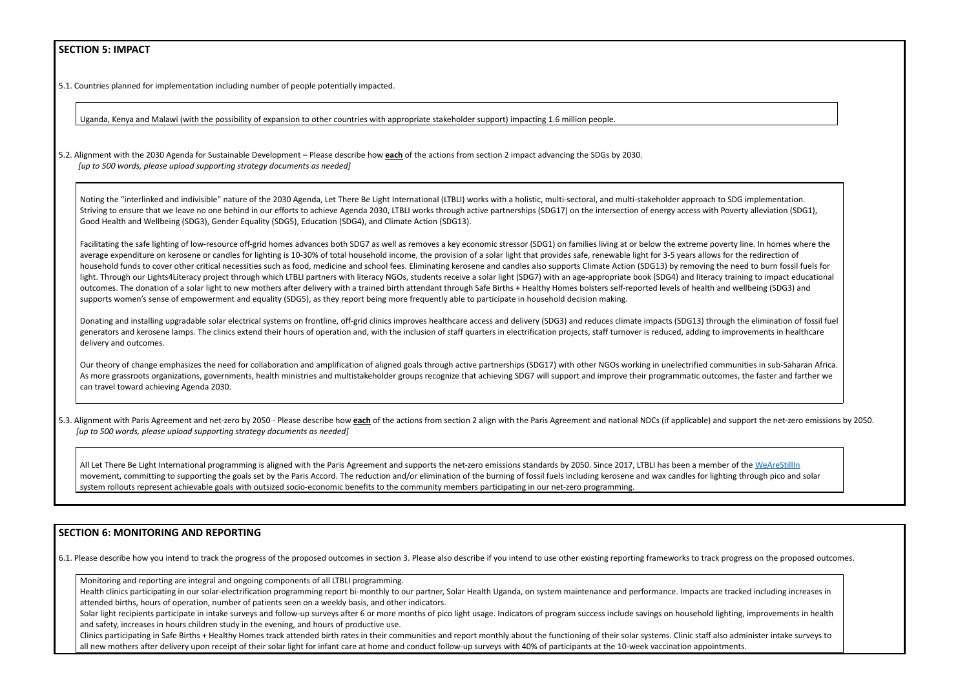### **SECTION 5: IMPACT**

5.1. Countries planned for implementation including number of people potentially impacted.

Uganda, Kenya and Malawi (with the possibility of expansion to other countries with appropriate stakeholder support) impacting 1.6 million people.

5.2. Alignment with the 2030 Agenda for Sustainable Development – Please describe how **each** of the actions from section 2 impact advancing the SDGs by 2030. *[up to 500 words, please upload supporting strategy documents as needed]*

Noting the "interlinked and indivisible" nature of the 2030 Agenda, Let There Be Light International (LTBLI) works with a holistic, multi-sectoral, and multi-stakeholder approach to SDG implementation. Striving to ensure that we leave no one behind in our efforts to achieve Agenda 2030, LTBLI works through active partnerships (SDG17) on the intersection of energy access with Poverty alleviation (SDG1), Good Health and Wellbeing (SDG3), Gender Equality (SDG5), Education (SDG4), and Climate Action (SDG13).

Facilitating the safe lighting of low-resource off-grid homes advances both SDG7 as well as removes a key economic stressor (SDG1) on families living at or below the extreme poverty line. In homes where the average expenditure on kerosene or candles for lighting is 10-30% of total household income, the provision of a solar light that provides safe, renewable light for 3-5 years allows for the redirection of household funds to cover other critical necessities such as food, medicine and school fees. Eliminating kerosene and candles also supports Climate Action (SDG13) by removing the need to burn fossil fuels for light. Through our Lights4Literacy project through which LTBLI partners with literacy NGOs, students receive a solar light (SDG7) with an age-appropriate book (SDG4) and literacy training to impact educational outcomes. The donation of a solar light to new mothers after delivery with a trained birth attendant through Safe Births + Healthy Homes bolsters self-reported levels of health and wellbeing (SDG3) and supports women's sense of empowerment and equality (SDG5), as they report being more frequently able to participate in household decision making.

5.3. Alignment with Paris Agreement and net-zero by 2050 - Please describe how each of the actions from section 2 align with the Paris Agreement and national NDCs (if applicable) and support the net-zero emissions by 2050. *[up to 500 words, please upload supporting strategy documents as needed]*

All Let There Be Light International programming is aligned with the Paris Agreement and supports the net-zero emissions standards by 2050. Since 2017, LTBLI has been a member of the [WeAreStillIn](https://www.wearestillin.com/organization/let-there-be-light-international) movement, committing to supporting the goals set by the Paris Accord. The reduction and/or elimination of the burning of fossil fuels including kerosene and wax candles for lighting through pico and solar system rollouts represent achievable goals with outsized socio-economic benefits to the community members participating in our net-zero programming.

Donating and installing upgradable solar electrical systems on frontline, off-grid clinics improves healthcare access and delivery (SDG3) and reduces climate impacts (SDG13) through the elimination of fossil fuel generators and kerosene lamps. The clinics extend their hours of operation and, with the inclusion of staff quarters in electrification projects, staff turnover is reduced, adding to improvements in healthcare delivery and outcomes.

Solar light recipients participate in intake surveys and follow-up surveys after 6 or more months of pico light usage. Indicators of program success include savings on household lighting, improvements in health and safety, increases in hours children study in the evening, and hours of productive use.

Our theory of change emphasizes the need for collaboration and amplification of aligned goals through active partnerships (SDG17) with other NGOs working in unelectrified communities in sub-Saharan Africa. As more grassroots organizations, governments, health ministries and multistakeholder groups recognize that achieving SDG7 will support and improve their programmatic outcomes, the faster and farther we can travel toward achieving Agenda 2030.

#### **SECTION 6: MONITORING AND REPORTING**

6.1. Please describe how you intend to track the progress of the proposed outcomes in section 3. Please also describe if you intend to use other existing reporting frameworks to track progress on the proposed outcomes.

Monitoring and reporting are integral and ongoing components of all LTBLI programming.

Health clinics participating in our solar-electrification programming report bi-monthly to our partner, Solar Health Uganda, on system maintenance and performance. Impacts are tracked including increases in attended births, hours of operation, number of patients seen on a weekly basis, and other indicators.

Clinics participating in Safe Births + Healthy Homes track attended birth rates in their communities and report monthly about the functioning of their solar systems. Clinic staff also administer intake surveys to all new mothers after delivery upon receipt of their solar light for infant care at home and conduct follow-up surveys with 40% of participants at the 10-week vaccination appointments.

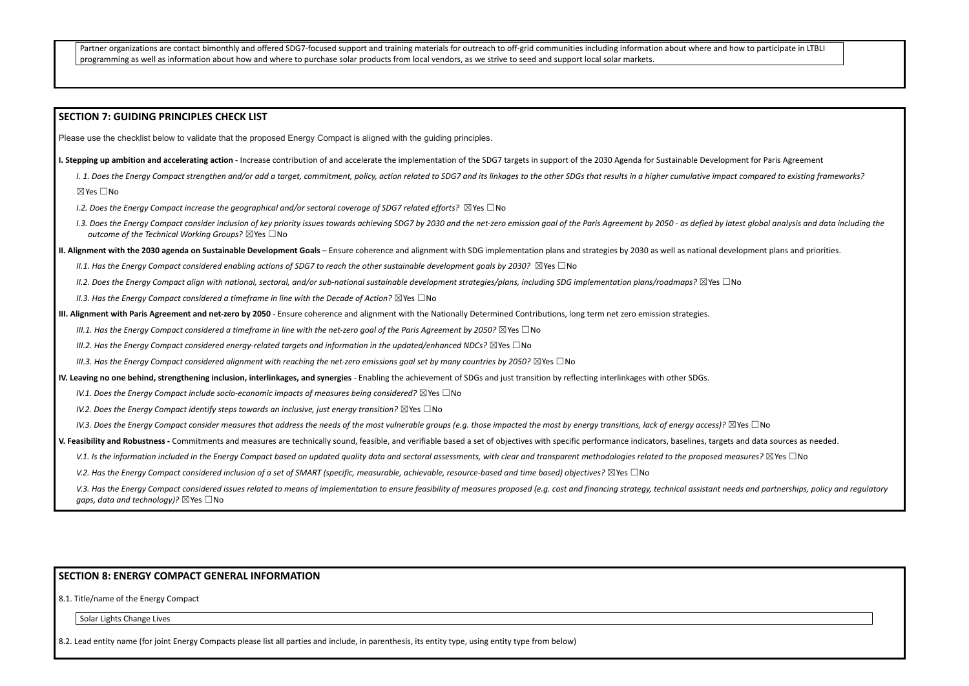Partner organizations are contact bimonthly and offered SDG7-focused support and training materials for outreach to off-grid communities including information about where and how to participate in LTBLI programming as well as information about how and where to purchase solar products from local vendors, as we strive to seed and support local solar markets.

#### **SECTION 7: GUIDING PRINCIPLES CHECK LIST**

Please use the checklist below to validate that the proposed Energy Compact is aligned with the guiding principles.

I. Stepping up ambition and accelerating action - Increase contribution of and accelerate the implementation of the SDG7 targets in support of the 2030 Agenda for Sustainable Development for Paris Agreement

1. 1. Does the Energy Compact strengthen and/or add a target, commitment, policy, action related to SDG7 and its linkages to the other SDGs that results in a higher cumulative impact compared to existing frameworks? ☒Yes ☐No

I.3. Does the Energy Compact consider inclusion of key priority issues towards achieving SDG7 by 2030 and the net-zero emission goal of the Paris Agreement by 2050 - as defied by latest global analysis and data including t *outcome of the Technical Working Groups?* ☒Yes ☐No

II. Alignment with the 2030 agenda on Sustainable Development Goals - Ensure coherence and alignment with SDG implementation plans and strategies by 2030 as well as national development plans and priorities.

II.1. Has the Energy Compact considered enabling actions of SDG7 to reach the other sustainable development goals by 2030?  $\boxtimes$  Yes  $\Box$  No

II.2. Does the Energy Compact align with national, sectoral, and/or sub-national sustainable development strategies/plans, including SDG implementation plans/roadmaps?  $\boxtimes$ Yes  $\Box$ No

*I.2. Does the Energy Compact increase the geographical and/or sectoral coverage of SDG7 related efforts?* ☒Yes ☐No

*II.3. Has the Energy Compact considered a timeframe in line with the Decade of Action?* ☒Yes ☐No

III. Alignment with Paris Agreement and net-zero by 2050 - Ensure coherence and alignment with the Nationally Determined Contributions, long term net zero emission strategies.

III.1. Has the Energy Compact considered a timeframe in line with the net-zero goal of the Paris Agreement by 2050?  $\boxtimes$  Yes  $\Box$  No

*III.2. Has the Energy Compact considered energy-related targets and information in the updated/enhanced NDCs?* ☒Yes ☐No

III.3. Has the Enerav Compact considered alianment with reachina the net-zero emissions aoal set by many countries by 2050?  $\boxtimes$  Yes  $\Box$  No

IV. Leaving no one behind, strengthening inclusion, interlinkages, and synergies - Enabling the achievement of SDGs and just transition by reflecting interlinkages with other SDGs.

*IV.1. Does the Energy Compact include socio-economic impacts of measures being considered?* ☒Yes ☐No

*IV.2. Does the Energy Compact identify steps towards an inclusive, just energy transition?* ☒Yes ☐No

IV.3. Does the Eneray Compact consider measures that address the needs of the most vulnerable aroups (e.g. those impacted the most by eneray transitions, lack of eneray access)?  $\boxtimes$  Yes  $\Box$  No

V. Feasibility and Robustness - Commitments and measures are technically sound, feasible, and verifiable based a set of objectives with specific performance indicators, baselines, targets and data sources as needed.

V.1. Is the information included in the Energy Compact based on updated quality data and sectoral assessments, with clear and transparent methodologies related to the proposed measures?  $\boxtimes$  Yes  $\Box$  No

V.2. Has the Energy Compact considered inclusion of a set of SMART (specific, measurable, achievable, resource-based and time based) objectives?  $\boxtimes$  Yes  $\Box$ No

V.3. Has the Eneray Compact considered issues related to means of implementation to ensure feasibility of measures proposed (e.a. cost and financina strateay, technical assistant needs and partnerships, policy and reaulato *gaps, data and technology)?* ⊠Yes □No

#### **SECTION 8: ENERGY COMPACT GENERAL INFORMATION**

8.1. Title/name of the Energy Compact

Solar Lights Change Lives

8.2. Lead entity name (for joint Energy Compacts please list all parties and include, in parenthesis, its entity type, using entity type from below)